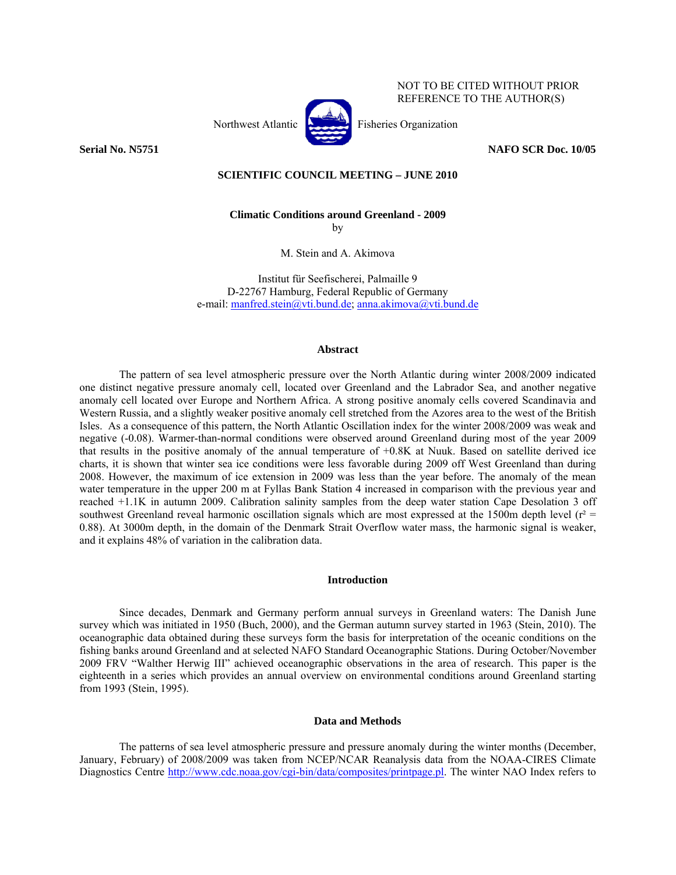

### **Serial No. N5751** NAFO SCR Doc. 10/05

NOT TO BE CITED WITHOUT PRIOR REFERENCE TO THE AUTHOR(S)

# **SCIENTIFIC COUNCIL MEETING – JUNE 2010**

**Climatic Conditions around Greenland - 2009** 

by

M. Stein and A. Akimova

Institut für Seefischerei, Palmaille 9 D-22767 Hamburg, Federal Republic of Germany e-mail: manfred.stein@vti.bund.de; anna.akimova@vti.bund.de

#### **Abstract**

The pattern of sea level atmospheric pressure over the North Atlantic during winter 2008/2009 indicated one distinct negative pressure anomaly cell, located over Greenland and the Labrador Sea, and another negative anomaly cell located over Europe and Northern Africa. A strong positive anomaly cells covered Scandinavia and Western Russia, and a slightly weaker positive anomaly cell stretched from the Azores area to the west of the British Isles. As a consequence of this pattern, the North Atlantic Oscillation index for the winter 2008/2009 was weak and negative (-0.08). Warmer-than-normal conditions were observed around Greenland during most of the year 2009 that results in the positive anomaly of the annual temperature of +0.8K at Nuuk. Based on satellite derived ice charts, it is shown that winter sea ice conditions were less favorable during 2009 off West Greenland than during 2008. However, the maximum of ice extension in 2009 was less than the year before. The anomaly of the mean water temperature in the upper 200 m at Fyllas Bank Station 4 increased in comparison with the previous year and reached +1.1K in autumn 2009. Calibration salinity samples from the deep water station Cape Desolation 3 off southwest Greenland reveal harmonic oscillation signals which are most expressed at the 1500m depth level ( $r^2$  = 0.88). At 3000m depth, in the domain of the Denmark Strait Overflow water mass, the harmonic signal is weaker, and it explains 48% of variation in the calibration data.

### **Introduction**

Since decades, Denmark and Germany perform annual surveys in Greenland waters: The Danish June survey which was initiated in 1950 (Buch, 2000), and the German autumn survey started in 1963 (Stein, 2010). The oceanographic data obtained during these surveys form the basis for interpretation of the oceanic conditions on the fishing banks around Greenland and at selected NAFO Standard Oceanographic Stations. During October/November 2009 FRV "Walther Herwig III" achieved oceanographic observations in the area of research. This paper is the eighteenth in a series which provides an annual overview on environmental conditions around Greenland starting from 1993 (Stein, 1995).

### **Data and Methods**

The patterns of sea level atmospheric pressure and pressure anomaly during the winter months (December, January, February) of 2008/2009 was taken from NCEP/NCAR Reanalysis data from the NOAA-CIRES Climate Diagnostics Centre http://www.cdc.noaa.gov/cgi-bin/data/composites/printpage.pl. The winter NAO Index refers to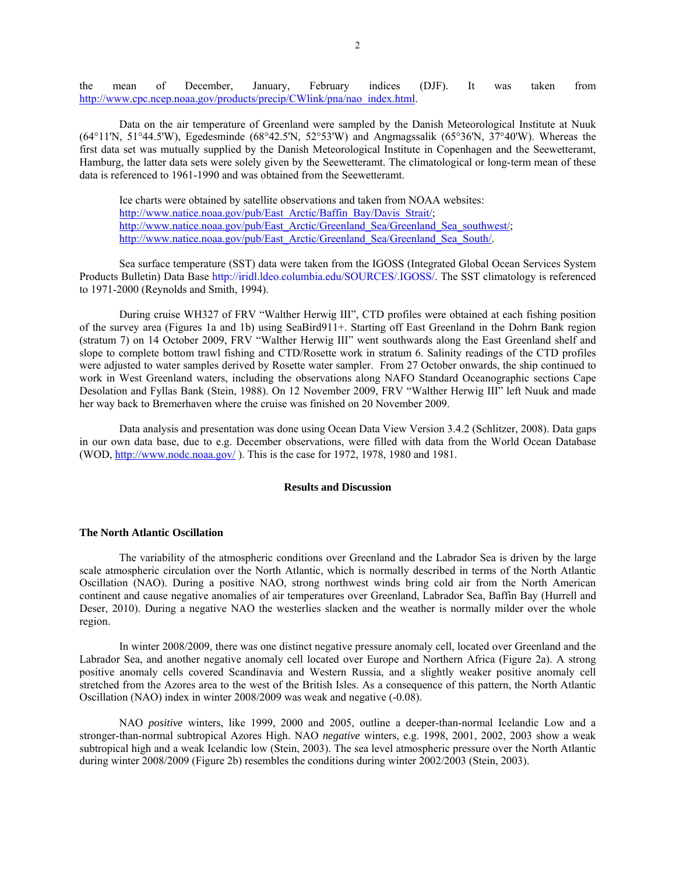the mean of December, January, February indices (DJF). It was taken from http://www.cpc.ncep.noaa.gov/products/precip/CWlink/pna/nao\_index.html.

Data on the air temperature of Greenland were sampled by the Danish Meteorological Institute at Nuuk (64°11'N, 51°44.5'W), Egedesminde (68°42.5'N, 52°53'W) and Angmagssalik (65°36'N, 37°40'W). Whereas the first data set was mutually supplied by the Danish Meteorological Institute in Copenhagen and the Seewetteramt, Hamburg, the latter data sets were solely given by the Seewetteramt. The climatological or long-term mean of these data is referenced to 1961-1990 and was obtained from the Seewetteramt.

Ice charts were obtained by satellite observations and taken from NOAA websites: http://www.natice.noaa.gov/pub/East\_Arctic/Baffin\_Bay/Davis\_Strait/; http://www.natice.noaa.gov/pub/East\_Arctic/Greenland\_Sea/Greenland\_Sea\_southwest/; http://www.natice.noaa.gov/pub/East\_Arctic/Greenland\_Sea/Greenland\_Sea\_South/.

Sea surface temperature (SST) data were taken from the IGOSS (Integrated Global Ocean Services System Products Bulletin) Data Base http://iridl.ldeo.columbia.edu/SOURCES/.IGOSS/. The SST climatology is referenced to 1971-2000 (Reynolds and Smith, 1994).

During cruise WH327 of FRV "Walther Herwig III", CTD profiles were obtained at each fishing position of the survey area (Figures 1a and 1b) using SeaBird911+. Starting off East Greenland in the Dohrn Bank region (stratum 7) on 14 October 2009, FRV "Walther Herwig III" went southwards along the East Greenland shelf and slope to complete bottom trawl fishing and CTD/Rosette work in stratum 6. Salinity readings of the CTD profiles were adjusted to water samples derived by Rosette water sampler. From 27 October onwards, the ship continued to work in West Greenland waters, including the observations along NAFO Standard Oceanographic sections Cape Desolation and Fyllas Bank (Stein, 1988). On 12 November 2009, FRV "Walther Herwig III" left Nuuk and made her way back to Bremerhaven where the cruise was finished on 20 November 2009.

Data analysis and presentation was done using Ocean Data View Version 3.4.2 (Schlitzer, 2008). Data gaps in our own data base, due to e.g. December observations, were filled with data from the World Ocean Database (WOD,  $\frac{http://www.node.noaa.gov/}{http://www.node.noaa.gov/})$ . This is the case for 1972, 1978, 1980 and 1981.

### **Results and Discussion**

#### **The North Atlantic Oscillation**

The variability of the atmospheric conditions over Greenland and the Labrador Sea is driven by the large scale atmospheric circulation over the North Atlantic, which is normally described in terms of the North Atlantic Oscillation (NAO). During a positive NAO, strong northwest winds bring cold air from the North American continent and cause negative anomalies of air temperatures over Greenland, Labrador Sea, Baffin Bay (Hurrell and Deser, 2010). During a negative NAO the westerlies slacken and the weather is normally milder over the whole region.

In winter 2008/2009, there was one distinct negative pressure anomaly cell, located over Greenland and the Labrador Sea, and another negative anomaly cell located over Europe and Northern Africa (Figure 2a). A strong positive anomaly cells covered Scandinavia and Western Russia, and a slightly weaker positive anomaly cell stretched from the Azores area to the west of the British Isles. As a consequence of this pattern, the North Atlantic Oscillation (NAO) index in winter 2008/2009 was weak and negative (-0.08).

NAO *positive* winters, like 1999, 2000 and 2005, outline a deeper-than-normal Icelandic Low and a stronger-than-normal subtropical Azores High. NAO *negative* winters, e.g. 1998, 2001, 2002, 2003 show a weak subtropical high and a weak Icelandic low (Stein, 2003). The sea level atmospheric pressure over the North Atlantic during winter 2008/2009 (Figure 2b) resembles the conditions during winter 2002/2003 (Stein, 2003).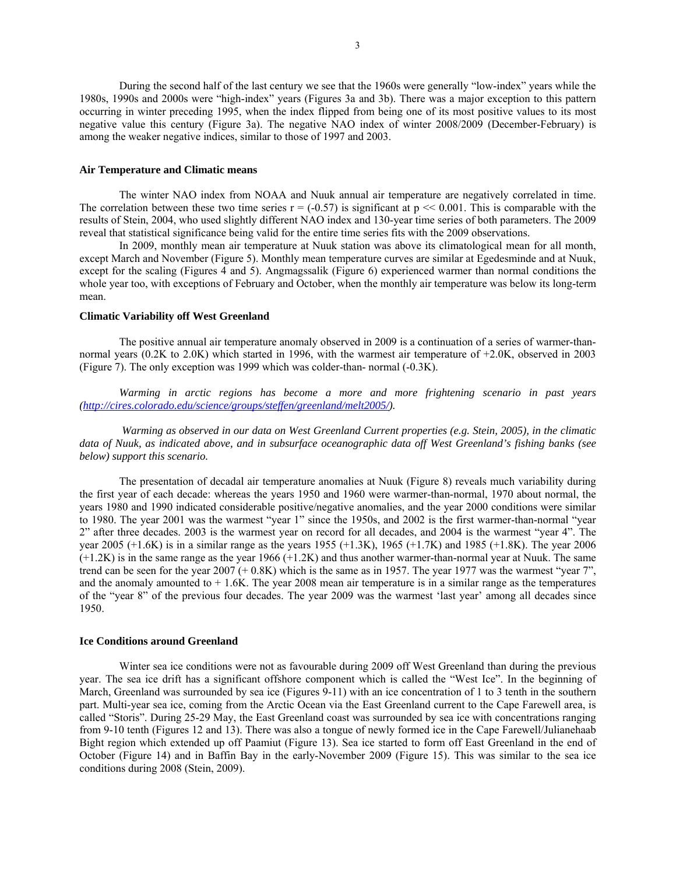During the second half of the last century we see that the 1960s were generally "low-index" years while the 1980s, 1990s and 2000s were "high-index" years (Figures 3a and 3b). There was a major exception to this pattern occurring in winter preceding 1995, when the index flipped from being one of its most positive values to its most negative value this century (Figure 3a). The negative NAO index of winter 2008/2009 (December-February) is among the weaker negative indices, similar to those of 1997 and 2003.

## **Air Temperature and Climatic means**

The winter NAO index from NOAA and Nuuk annual air temperature are negatively correlated in time. The correlation between these two time series  $r = (-0.57)$  is significant at  $p \ll 0.001$ . This is comparable with the results of Stein, 2004, who used slightly different NAO index and 130-year time series of both parameters. The 2009 reveal that statistical significance being valid for the entire time series fits with the 2009 observations.

In 2009, monthly mean air temperature at Nuuk station was above its climatological mean for all month, except March and November (Figure 5). Monthly mean temperature curves are similar at Egedesminde and at Nuuk, except for the scaling (Figures 4 and 5). Angmagssalik (Figure 6) experienced warmer than normal conditions the whole year too, with exceptions of February and October, when the monthly air temperature was below its long-term mean.

## **Climatic Variability off West Greenland**

The positive annual air temperature anomaly observed in 2009 is a continuation of a series of warmer-thannormal years (0.2K to 2.0K) which started in 1996, with the warmest air temperature of +2.0K, observed in 2003 (Figure 7). The only exception was 1999 which was colder-than- normal (-0.3K).

*Warming in arctic regions has become a more and more frightening scenario in past years (http://cires.colorado.edu/science/groups/steffen/greenland/melt2005/).* 

 *Warming as observed in our data on West Greenland Current properties (e.g. Stein, 2005), in the climatic data of Nuuk, as indicated above, and in subsurface oceanographic data off West Greenland's fishing banks (see below) support this scenario.* 

The presentation of decadal air temperature anomalies at Nuuk (Figure 8) reveals much variability during the first year of each decade: whereas the years 1950 and 1960 were warmer-than-normal, 1970 about normal, the years 1980 and 1990 indicated considerable positive/negative anomalies, and the year 2000 conditions were similar to 1980. The year 2001 was the warmest "year 1" since the 1950s, and 2002 is the first warmer-than-normal "year 2" after three decades. 2003 is the warmest year on record for all decades, and 2004 is the warmest "year 4". The year 2005 (+1.6K) is in a similar range as the years 1955 (+1.3K), 1965 (+1.7K) and 1985 (+1.8K). The year 2006 (+1.2K) is in the same range as the year 1966 (+1.2K) and thus another warmer-than-normal year at Nuuk. The same trend can be seen for the year 2007 (+ 0.8K) which is the same as in 1957. The year 1977 was the warmest "year 7", and the anomaly amounted to  $+1.6K$ . The year 2008 mean air temperature is in a similar range as the temperatures of the "year 8" of the previous four decades. The year 2009 was the warmest 'last year' among all decades since 1950.

#### **Ice Conditions around Greenland**

Winter sea ice conditions were not as favourable during 2009 off West Greenland than during the previous year. The sea ice drift has a significant offshore component which is called the "West Ice". In the beginning of March, Greenland was surrounded by sea ice (Figures 9-11) with an ice concentration of 1 to 3 tenth in the southern part. Multi-year sea ice, coming from the Arctic Ocean via the East Greenland current to the Cape Farewell area, is called "Storis". During 25-29 May, the East Greenland coast was surrounded by sea ice with concentrations ranging from 9-10 tenth (Figures 12 and 13). There was also a tongue of newly formed ice in the Cape Farewell/Julianehaab Bight region which extended up off Paamiut (Figure 13). Sea ice started to form off East Greenland in the end of October (Figure 14) and in Baffin Bay in the early-November 2009 (Figure 15). This was similar to the sea ice conditions during 2008 (Stein, 2009).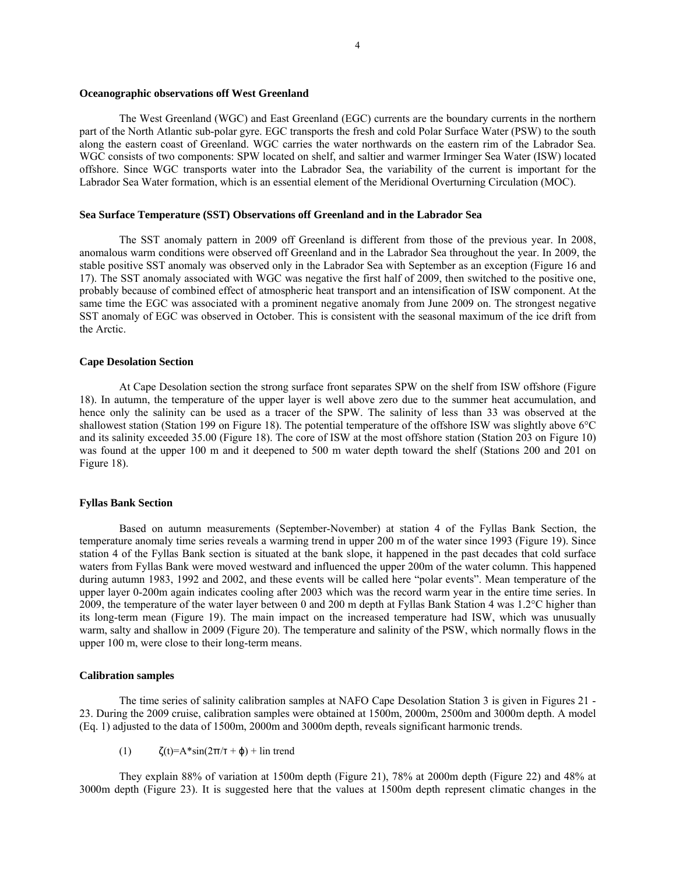### **Oceanographic observations off West Greenland**

The West Greenland (WGC) and East Greenland (EGC) currents are the boundary currents in the northern part of the North Atlantic sub-polar gyre. EGC transports the fresh and cold Polar Surface Water (PSW) to the south along the eastern coast of Greenland. WGC carries the water northwards on the eastern rim of the Labrador Sea. WGC consists of two components: SPW located on shelf, and saltier and warmer Irminger Sea Water (ISW) located offshore. Since WGC transports water into the Labrador Sea, the variability of the current is important for the Labrador Sea Water formation, which is an essential element of the Meridional Overturning Circulation (MOC).

### **Sea Surface Temperature (SST) Observations off Greenland and in the Labrador Sea**

The SST anomaly pattern in 2009 off Greenland is different from those of the previous year. In 2008, anomalous warm conditions were observed off Greenland and in the Labrador Sea throughout the year. In 2009, the stable positive SST anomaly was observed only in the Labrador Sea with September as an exception (Figure 16 and 17). The SST anomaly associated with WGC was negative the first half of 2009, then switched to the positive one, probably because of combined effect of atmospheric heat transport and an intensification of ISW component. At the same time the EGC was associated with a prominent negative anomaly from June 2009 on. The strongest negative SST anomaly of EGC was observed in October. This is consistent with the seasonal maximum of the ice drift from the Arctic.

### **Cape Desolation Section**

At Cape Desolation section the strong surface front separates SPW on the shelf from ISW offshore (Figure 18). In autumn, the temperature of the upper layer is well above zero due to the summer heat accumulation, and hence only the salinity can be used as a tracer of the SPW. The salinity of less than 33 was observed at the shallowest station (Station 199 on Figure 18). The potential temperature of the offshore ISW was slightly above 6°C and its salinity exceeded 35.00 (Figure 18). The core of ISW at the most offshore station (Station 203 on Figure 10) was found at the upper 100 m and it deepened to 500 m water depth toward the shelf (Stations 200 and 201 on Figure 18).

# **Fyllas Bank Section**

Based on autumn measurements (September-November) at station 4 of the Fyllas Bank Section, the temperature anomaly time series reveals a warming trend in upper 200 m of the water since 1993 (Figure 19). Since station 4 of the Fyllas Bank section is situated at the bank slope, it happened in the past decades that cold surface waters from Fyllas Bank were moved westward and influenced the upper 200m of the water column. This happened during autumn 1983, 1992 and 2002, and these events will be called here "polar events". Mean temperature of the upper layer 0-200m again indicates cooling after 2003 which was the record warm year in the entire time series. In 2009, the temperature of the water layer between 0 and 200 m depth at Fyllas Bank Station 4 was 1.2°C higher than its long-term mean (Figure 19). The main impact on the increased temperature had ISW, which was unusually warm, salty and shallow in 2009 (Figure 20). The temperature and salinity of the PSW, which normally flows in the upper 100 m, were close to their long-term means.

# **Calibration samples**

The time series of salinity calibration samples at NAFO Cape Desolation Station 3 is given in Figures 21 - 23. During the 2009 cruise, calibration samples were obtained at 1500m, 2000m, 2500m and 3000m depth. A model (Eq. 1) adjusted to the data of 1500m, 2000m and 3000m depth, reveals significant harmonic trends.

(1)  $\zeta(t)=A^*\sin(2\pi/\tau+\phi)+\ln t$  trend

They explain 88% of variation at 1500m depth (Figure 21), 78% at 2000m depth (Figure 22) and 48% at 3000m depth (Figure 23). It is suggested here that the values at 1500m depth represent climatic changes in the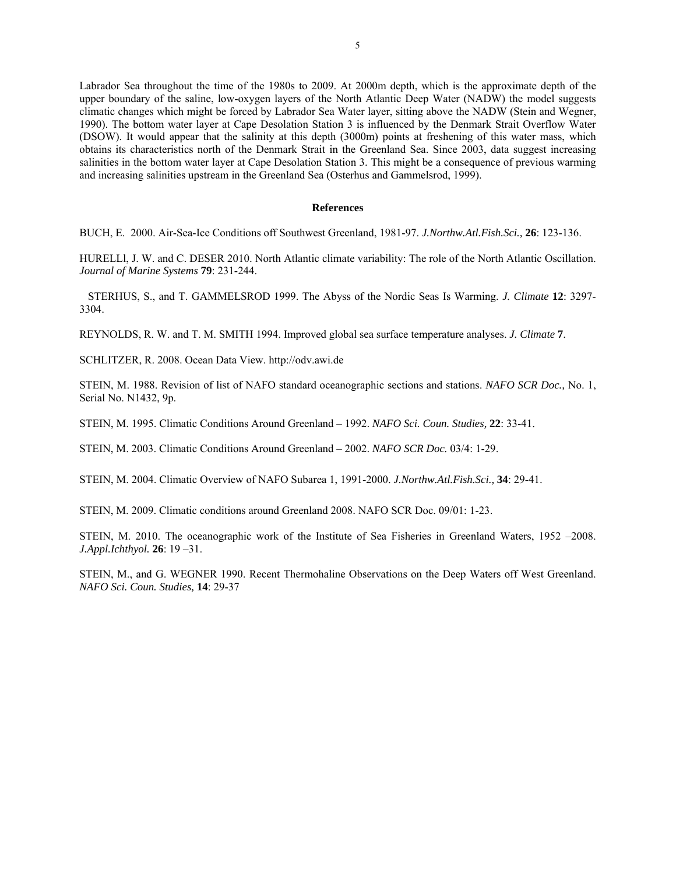Labrador Sea throughout the time of the 1980s to 2009. At 2000m depth, which is the approximate depth of the upper boundary of the saline, low-oxygen layers of the North Atlantic Deep Water (NADW) the model suggests climatic changes which might be forced by Labrador Sea Water layer, sitting above the NADW (Stein and Wegner, 1990). The bottom water layer at Cape Desolation Station 3 is influenced by the Denmark Strait Overflow Water (DSOW). It would appear that the salinity at this depth (3000m) points at freshening of this water mass, which obtains its characteristics north of the Denmark Strait in the Greenland Sea. Since 2003, data suggest increasing salinities in the bottom water layer at Cape Desolation Station 3. This might be a consequence of previous warming and increasing salinities upstream in the Greenland Sea (Osterhus and Gammelsrod, 1999).

### **References**

BUCH, E. 2000. Air-Sea-Ice Conditions off Southwest Greenland, 1981-97. *J.Northw.Atl.Fish.Sci.,* **26**: 123-136.

HURELLl, J. W. and C. DESER 2010. North Atlantic climate variability: The role of the North Atlantic Oscillation. *Journal of Marine Systems* **79**: 231-244.

STERHUS, S., and T. GAMMELSROD 1999. The Abyss of the Nordic Seas Is Warming. *J. Climate* **12**: 3297- 3304.

REYNOLDS, R. W. and T. M. SMITH 1994. Improved global sea surface temperature analyses. *J. Climate* **7**.

SCHLITZER, R. 2008. Ocean Data View. http://odv.awi.de

STEIN, M. 1988. Revision of list of NAFO standard oceanographic sections and stations. *NAFO SCR Doc.,* No. 1, Serial No. N1432, 9p.

STEIN, M. 1995. Climatic Conditions Around Greenland – 1992. *NAFO Sci. Coun. Studies,* **22**: 33-41.

STEIN, M. 2003. Climatic Conditions Around Greenland – 2002. *NAFO SCR Doc.* 03/4: 1-29.

STEIN, M. 2004. Climatic Overview of NAFO Subarea 1, 1991-2000. *J.Northw.Atl.Fish.Sci.,* **34**: 29-41.

STEIN, M. 2009. Climatic conditions around Greenland 2008. NAFO SCR Doc. 09/01: 1-23.

STEIN, M. 2010. The oceanographic work of the Institute of Sea Fisheries in Greenland Waters, 1952 –2008. *J.Appl.Ichthyol.* **26**: 19 –31.

STEIN, M., and G. WEGNER 1990. Recent Thermohaline Observations on the Deep Waters off West Greenland. *NAFO Sci. Coun. Studies,* **14**: 29-37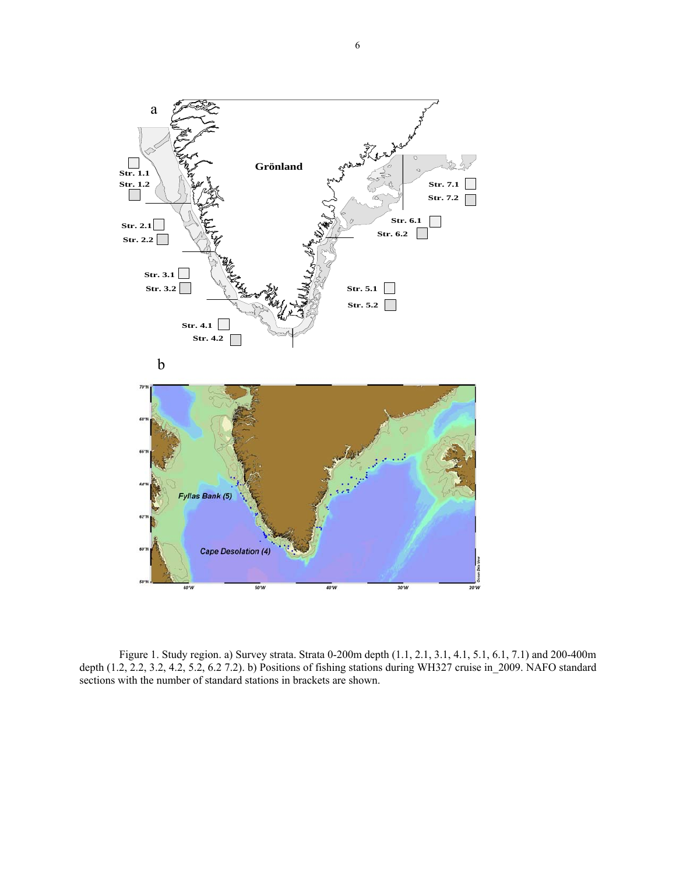

Figure 1. Study region. a) Survey strata. Strata 0-200m depth (1.1, 2.1, 3.1, 4.1, 5.1, 6.1, 7.1) and 200-400m depth (1.2, 2.2, 3.2, 4.2, 5.2, 6.2 7.2). b) Positions of fishing stations during WH327 cruise in\_2009. NAFO standard sections with the number of standard stations in brackets are shown.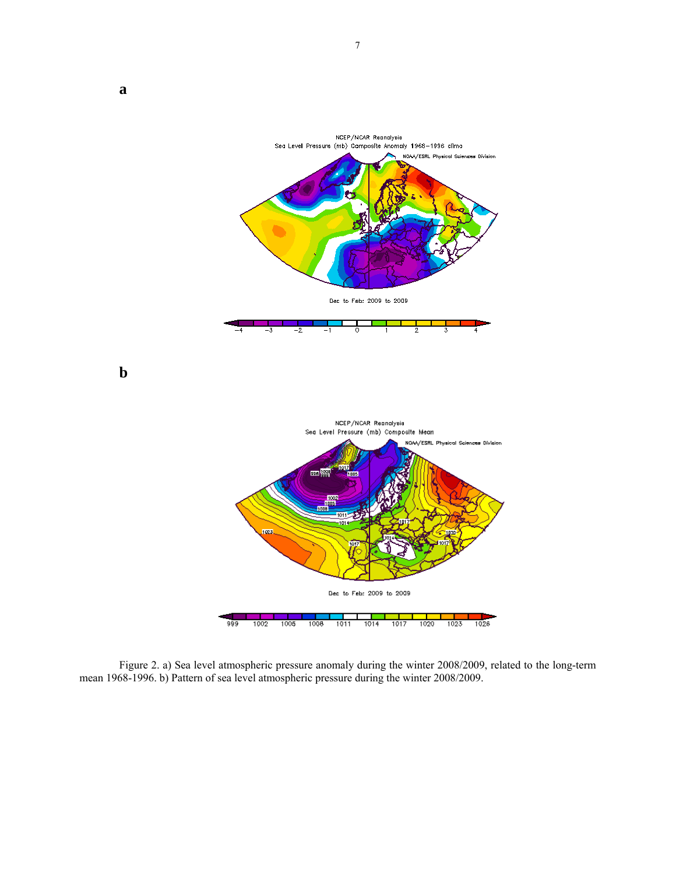

**b** 



Figure 2. a) Sea level atmospheric pressure anomaly during the winter 2008/2009, related to the long-term mean 1968-1996. b) Pattern of sea level atmospheric pressure during the winter 2008/2009.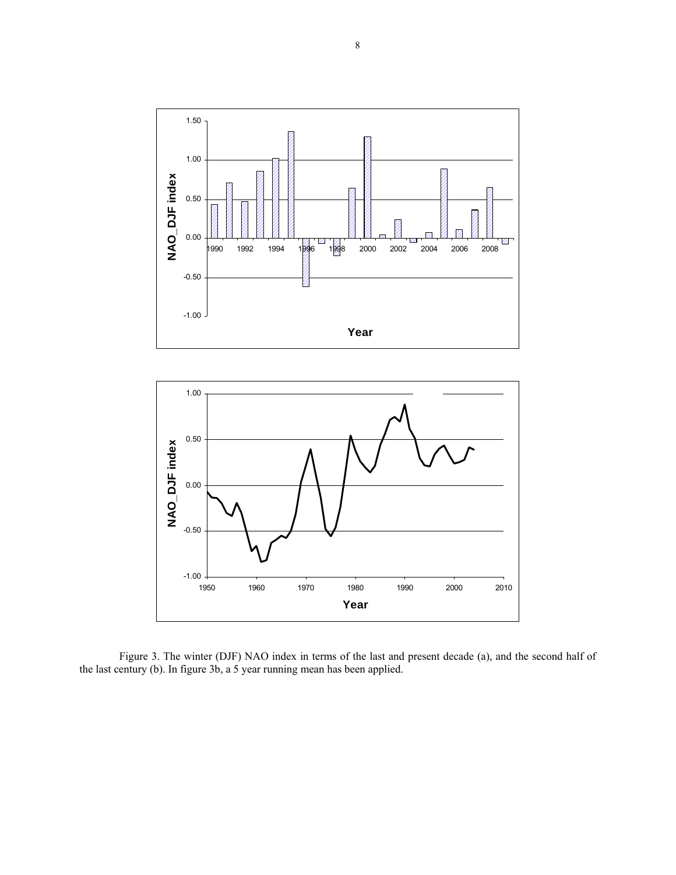

Figure 3. The winter (DJF) NAO index in terms of the last and present decade (a), and the second half of the last century (b). In figure 3b, a 5 year running mean has been applied.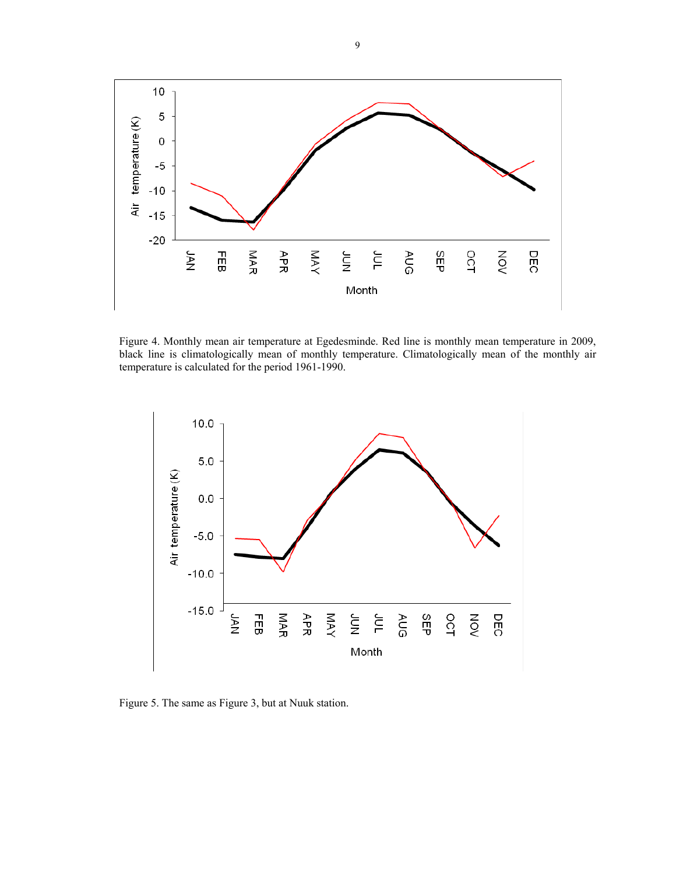

Figure 4. Monthly mean air temperature at Egedesminde. Red line is monthly mean temperature in 2009, black line is climatologically mean of monthly temperature. Climatologically mean of the monthly air temperature is calculated for the period 1961-1990.



Figure 5. The same as Figure 3, but at Nuuk station.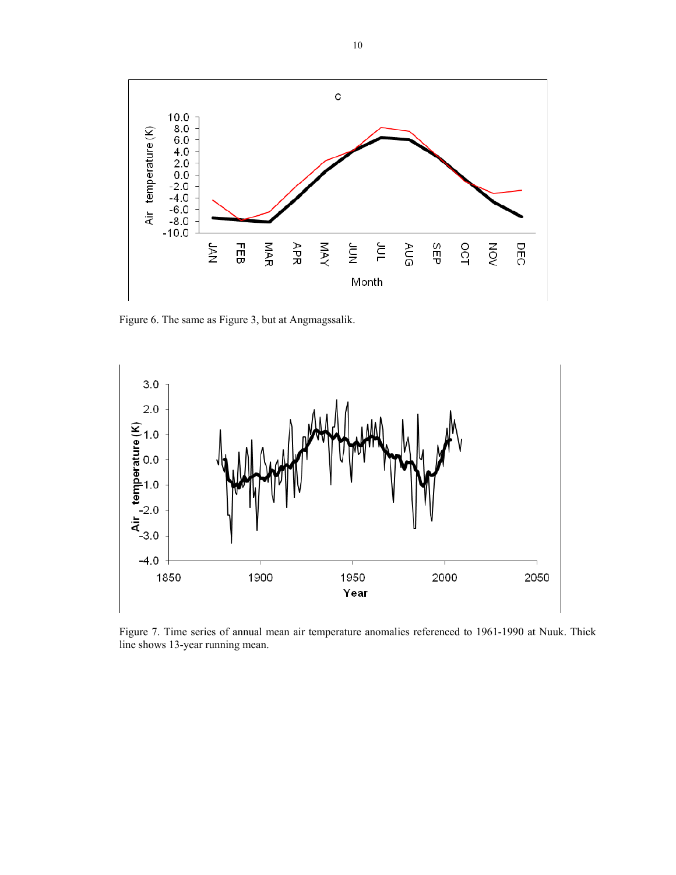

Figure 6. The same as Figure 3, but at Angmagssalik.



Figure 7. Time series of annual mean air temperature anomalies referenced to 1961-1990 at Nuuk. Thick line shows 13-year running mean.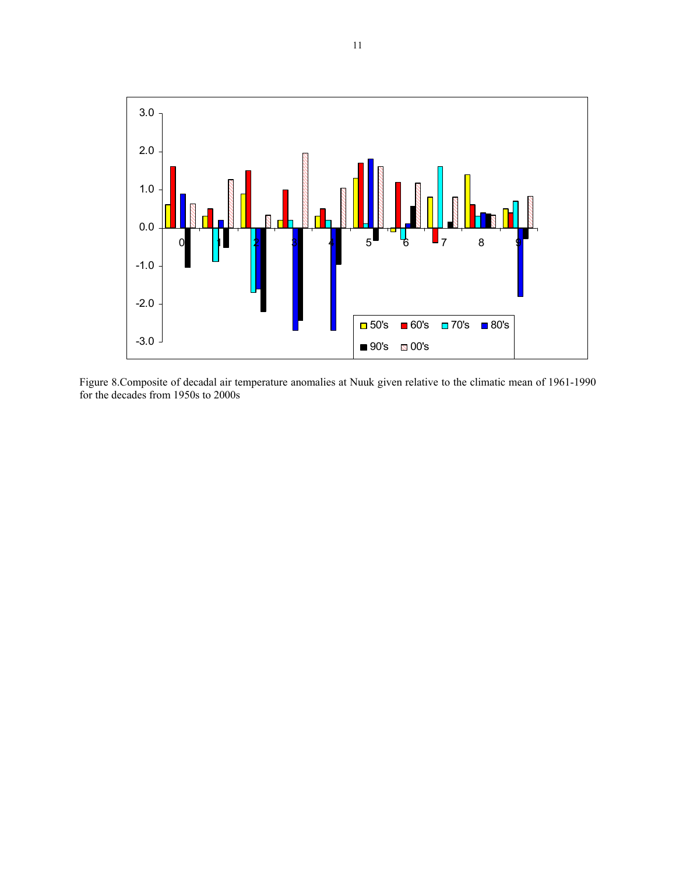

Figure 8.Composite of decadal air temperature anomalies at Nuuk given relative to the climatic mean of 1961-1990 for the decades from 1950s to 2000s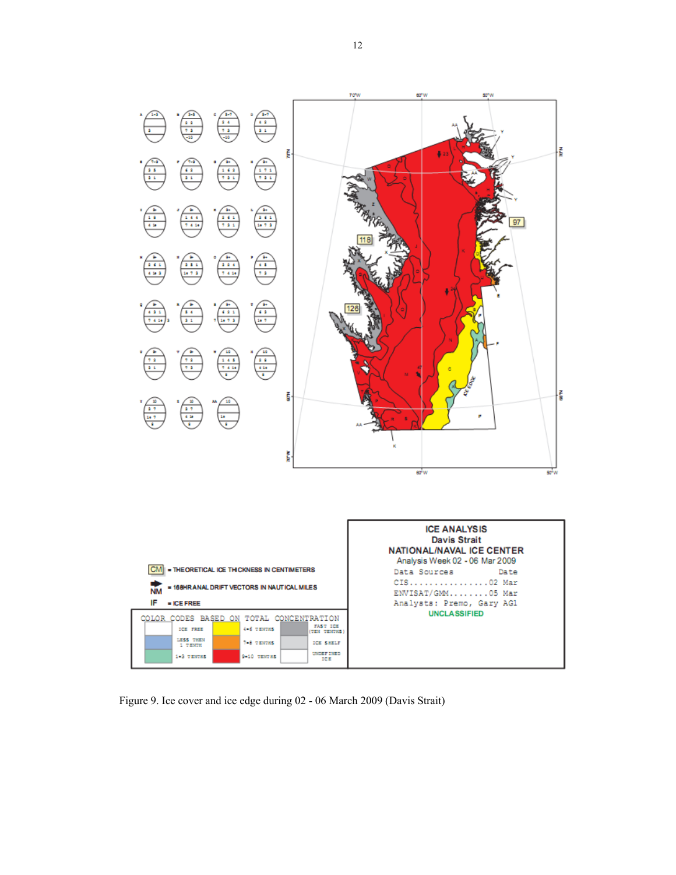

Figure 9. Ice cover and ice edge during 02 - 06 March 2009 (Davis Strait)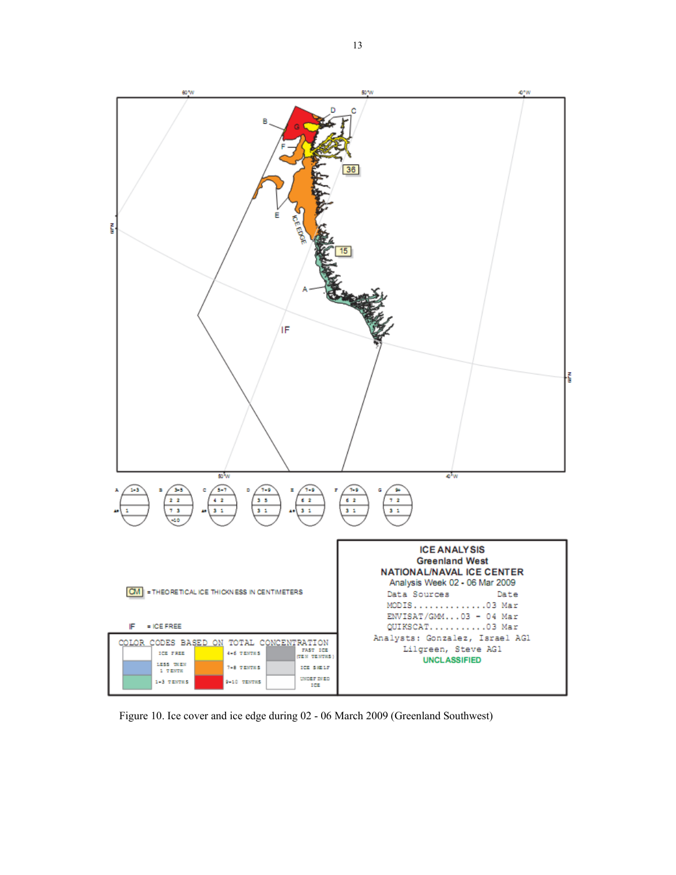

Figure 10. Ice cover and ice edge during 02 - 06 March 2009 (Greenland Southwest)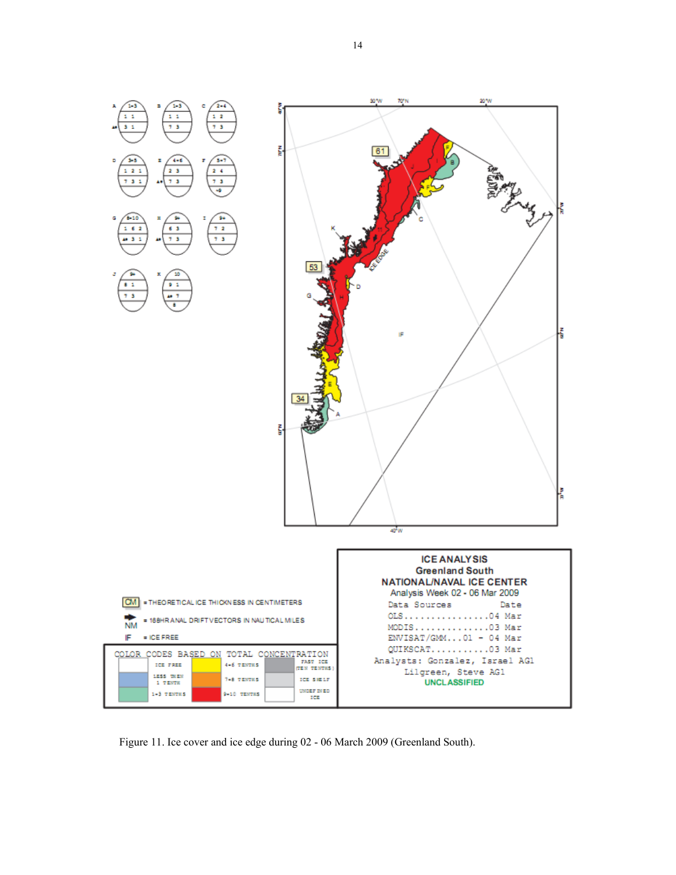

Figure 11. Ice cover and ice edge during 02 - 06 March 2009 (Greenland South).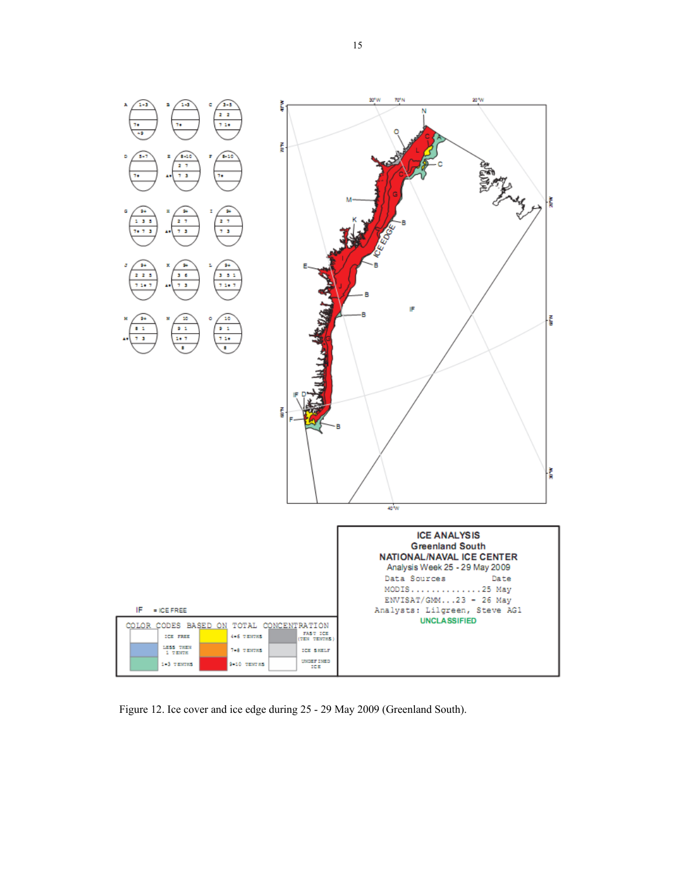

Figure 12. Ice cover and ice edge during 25 - 29 May 2009 (Greenland South).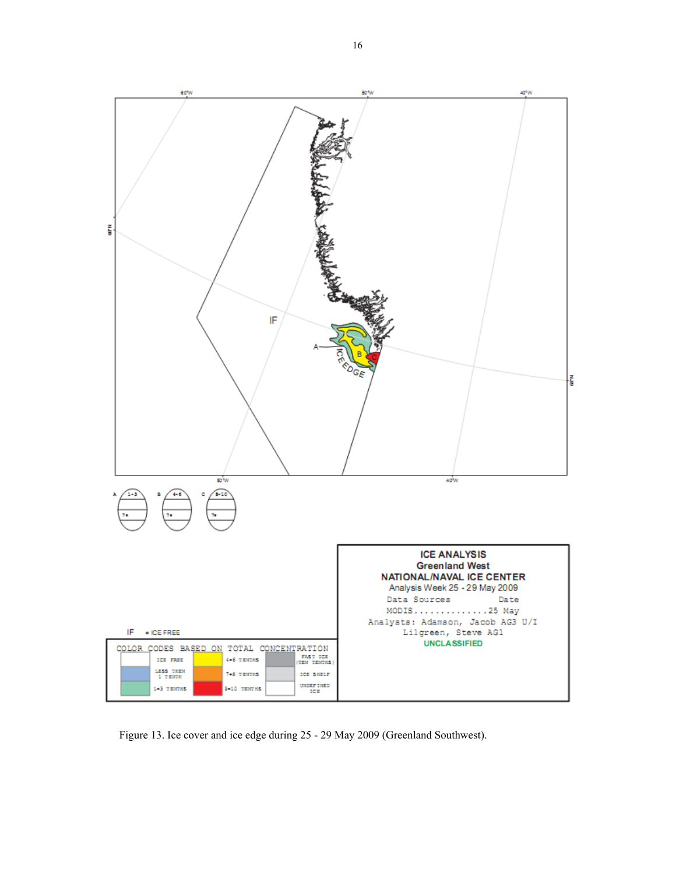

Figure 13. Ice cover and ice edge during 25 - 29 May 2009 (Greenland Southwest).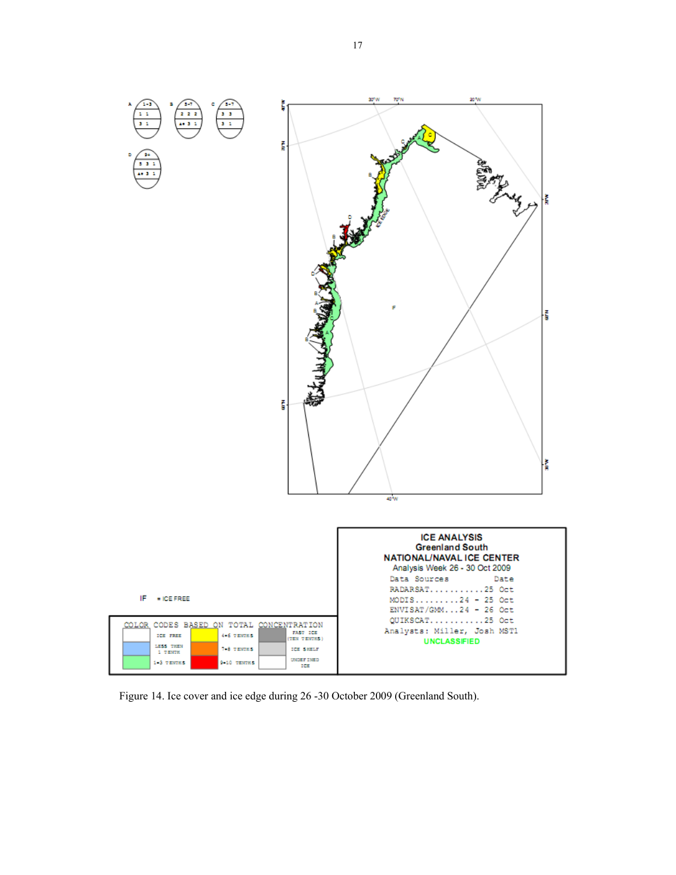

Figure 14. Ice cover and ice edge during 26 -30 October 2009 (Greenland South).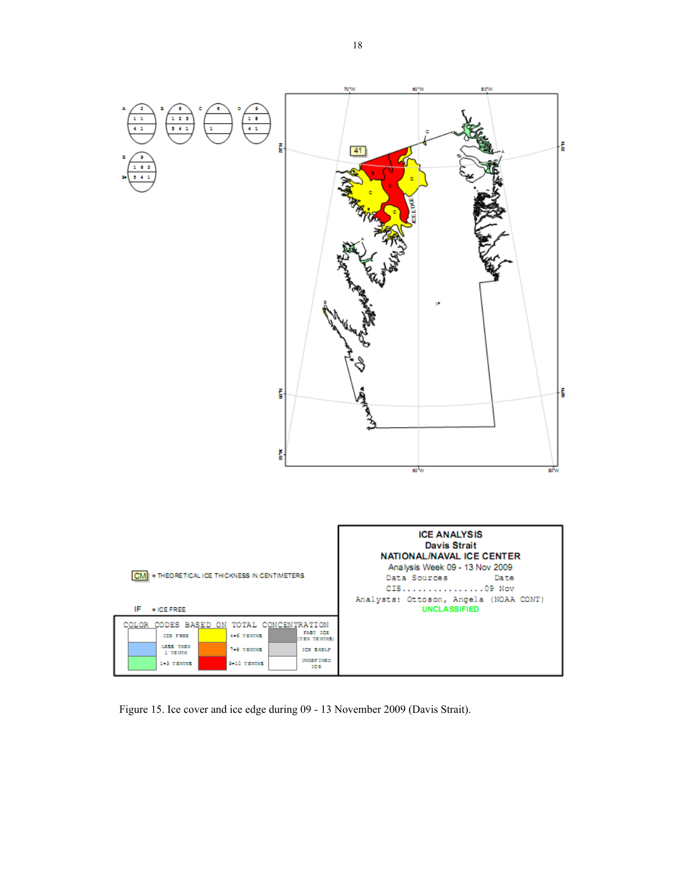

Figure 15. Ice cover and ice edge during 09 - 13 November 2009 (Davis Strait).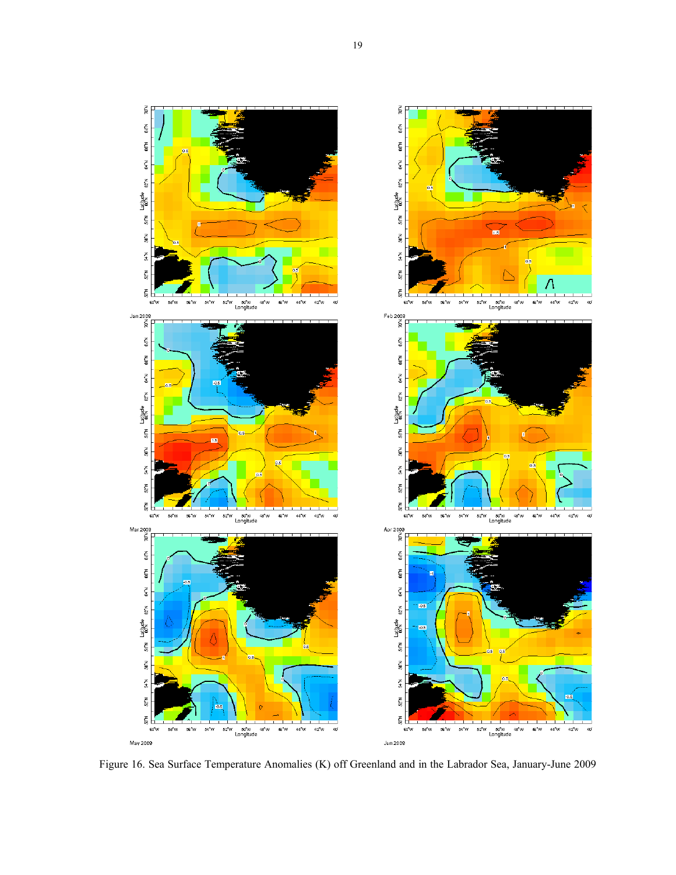

Figure 16. Sea Surface Temperature Anomalies (K) off Greenland and in the Labrador Sea, January-June 2009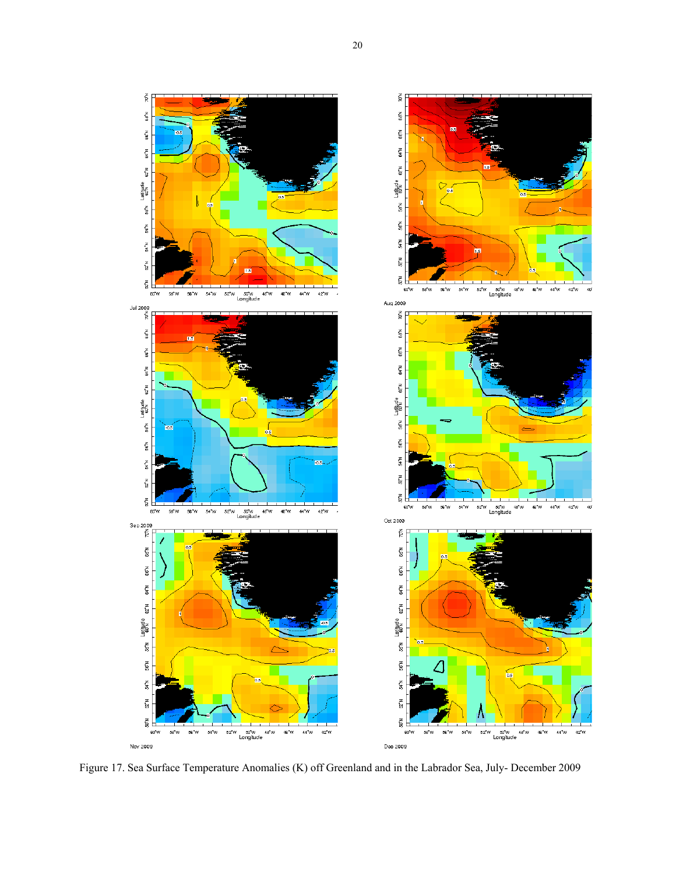



Figure 17. Sea Surface Temperature Anomalies (K) off Greenland and in the Labrador Sea, July- December 2009

 $\tilde{\mathbf{p}}$ 

 $58<sub>1</sub>$ 

 $\tilde{\tilde{s}}$ 

 $\frac{z}{3}$ 

se'w Latitude ez'w

 $567$ 

54 N

 $\frac{1}{2}$ 

 $\tilde{\S}$ 

 $\mathsf{se}$ 66 N

se'w Latitude ez'w ex'w

56 N

 $M^*M$ 

 $\frac{1}{2}$ 

 $\tilde{\S}$ 

 $687$ 

66°N

sa'n Latitude <sub>62</sub>'n 64'n

 $56^{\circ}$ N

 $\frac{2}{3}$ 

 $\frac{1}{2}$ 

 $\tilde{5}$ 

Nov 2009

60 W

 $\mathbf{Sep}$ 200°<br>چ

60 W 58 W

`os

Jul 2009<br>A<br>R

60<sup>W</sup>

58 M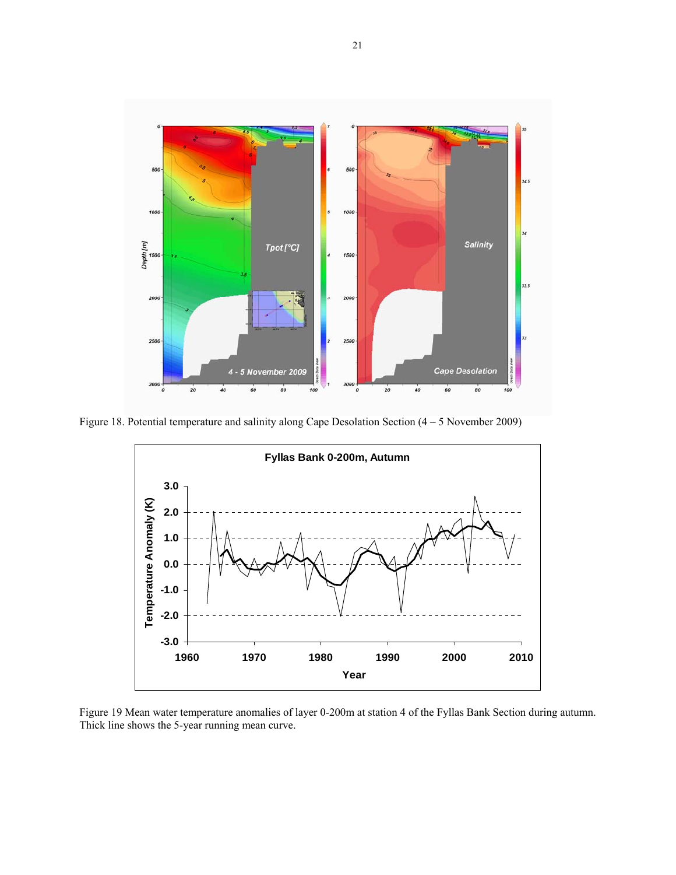

Figure 18. Potential temperature and salinity along Cape Desolation Section (4 – 5 November 2009)



Figure 19 Mean water temperature anomalies of layer 0-200m at station 4 of the Fyllas Bank Section during autumn. Thick line shows the 5-year running mean curve.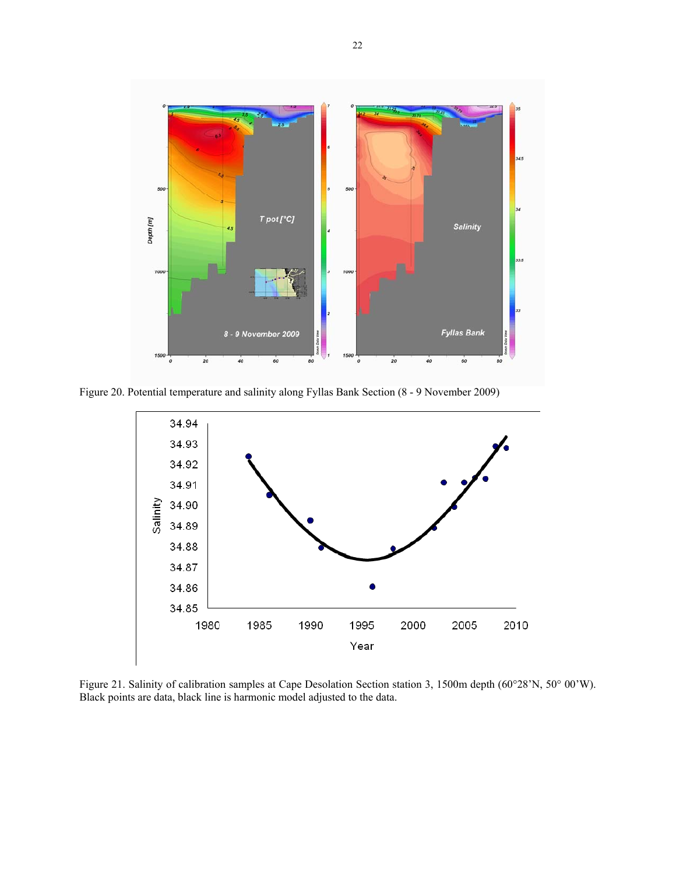

Figure 20. Potential temperature and salinity along Fyllas Bank Section (8 - 9 November 2009)



Figure 21. Salinity of calibration samples at Cape Desolation Section station 3, 1500m depth (60°28'N, 50° 00'W). Black points are data, black line is harmonic model adjusted to the data.